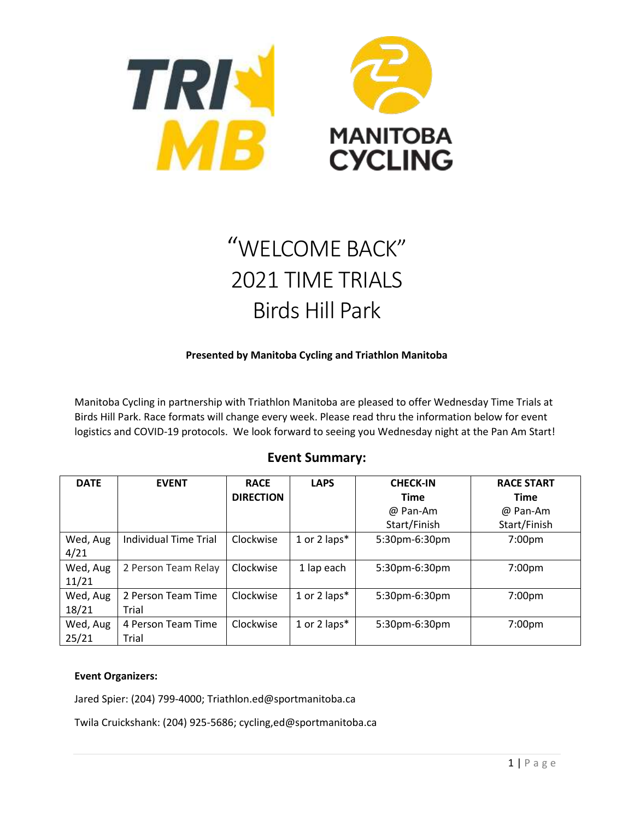

# "WELCOME BACK" 2021 TIME TRIALS Birds Hill Park

#### **Presented by Manitoba Cycling and Triathlon Manitoba**

Manitoba Cycling in partnership with Triathlon Manitoba are pleased to offer Wednesday Time Trials at Birds Hill Park. Race formats will change every week. Please read thru the information below for event logistics and COVID-19 protocols. We look forward to seeing you Wednesday night at the Pan Am Start!

## **Event Summary:**

| <b>DATE</b>       | <b>EVENT</b>                 | <b>RACE</b>      | <b>LAPS</b>  | <b>CHECK-IN</b> | <b>RACE START</b>  |
|-------------------|------------------------------|------------------|--------------|-----------------|--------------------|
|                   |                              | <b>DIRECTION</b> |              | <b>Time</b>     | <b>Time</b>        |
|                   |                              |                  |              | @ Pan-Am        | @ Pan-Am           |
|                   |                              |                  |              | Start/Finish    | Start/Finish       |
| Wed, Aug<br>4/21  | <b>Individual Time Trial</b> | Clockwise        | 1 or 2 laps* | 5:30pm-6:30pm   | 7:00pm             |
| Wed, Aug<br>11/21 | 2 Person Team Relay          | Clockwise        | 1 lap each   | 5:30pm-6:30pm   | 7:00pm             |
| Wed, Aug          | 2 Person Team Time           | Clockwise        | 1 or 2 laps* | 5:30pm-6:30pm   | 7:00 <sub>pm</sub> |
| 18/21             | Trial                        |                  |              |                 |                    |
| Wed, Aug          | 4 Person Team Time           | Clockwise        | 1 or 2 laps* | 5:30pm-6:30pm   | 7:00pm             |
| 25/21             | Trial                        |                  |              |                 |                    |

#### **Event Organizers:**

Jared Spier: (204) 799-4000; Triathlon.ed@sportmanitoba.ca

Twila Cruickshank: (204) 925-5686; cycling,ed@sportmanitoba.ca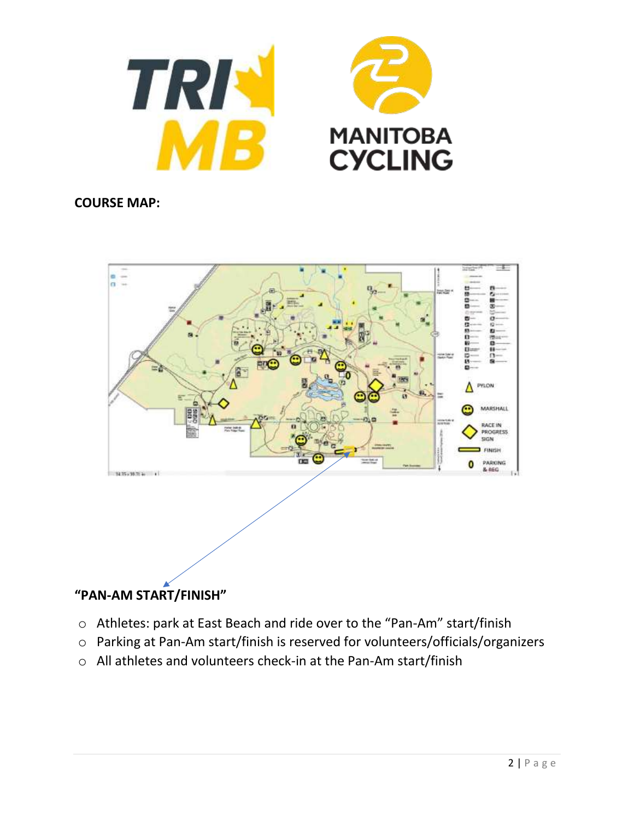

## **COURSE MAP:**



# **"PAN-AM START/FINISH"**

- o Athletes: park at East Beach and ride over to the "Pan-Am" start/finish
- o Parking at Pan-Am start/finish is reserved for volunteers/officials/organizers
- o All athletes and volunteers check-in at the Pan-Am start/finish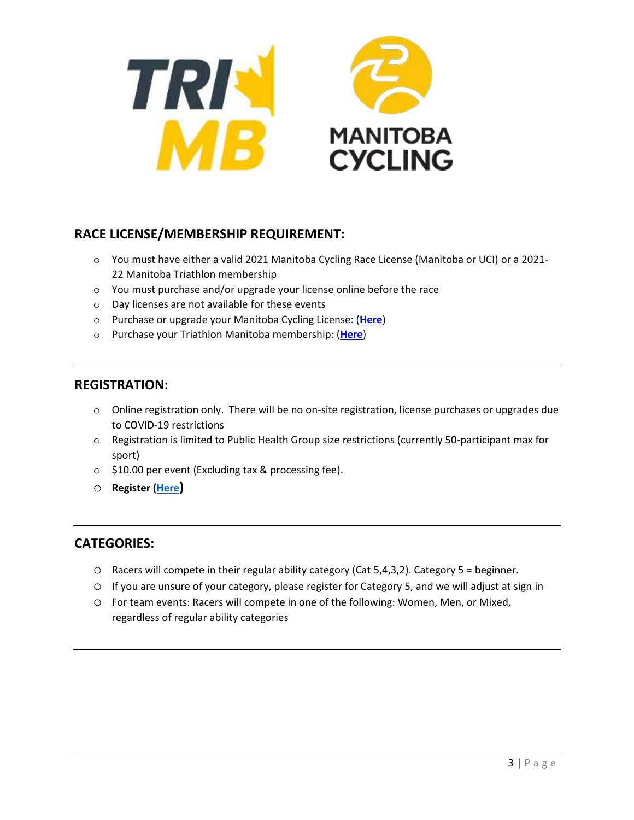

# **RACE LICENSE/MEMBERSHIP REQUIREMENT:**

- o You must have either a valid 2021 Manitoba Cycling Race License (Manitoba or UCI) or a 2021-22 Manitoba Triathlon membership
- o You must purchase and/or upgrade your license online before the race
- o Day licenses are not available for these events
- o Purchase or upgrade your Manitoba Cycling License: (**[Here](https://ccnbikes.com/#!/memberships/manitoba-cycling-association-2021-annual-license-membership)**)
- o Purchase your Triathlon Manitoba membership: (**[Here](https://ccnbikes.com/#!/memberships/triathlon-manitoba-annual-membership-2021)**)

#### **REGISTRATION:**

- o Online registration only. There will be no on-site registration, license purchases or upgrades due to COVID-19 restrictions
- $\circ$  Registration is limited to Public Health Group size restrictions (currently 50-participant max for sport)
- o \$10.00 per event (Excluding tax & processing fee).
- o **Register [\(Here](https://ccnbikes.com/#!/events/2021-wednesday-night-time-trial-individual-time-trialhttps://ccnbikes.com/))**

#### **CATEGORIES:**

- $\circ$  Racers will compete in their regular ability category (Cat 5,4,3,2). Category 5 = beginner.
- o If you are unsure of your category, please register for Category 5, and we will adjust at sign in
- o For team events: Racers will compete in one of the following: Women, Men, or Mixed, regardless of regular ability categories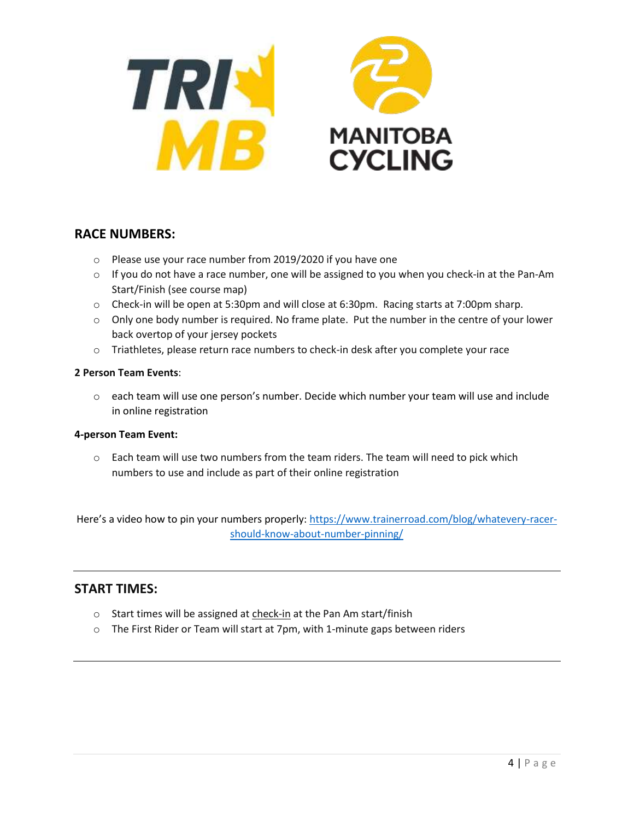

# **RACE NUMBERS:**

- o Please use your race number from 2019/2020 if you have one
- $\circ$  If you do not have a race number, one will be assigned to you when you check-in at the Pan-Am Start/Finish (see course map)
- o Check-in will be open at 5:30pm and will close at 6:30pm. Racing starts at 7:00pm sharp.
- $\circ$  Only one body number is required. No frame plate. Put the number in the centre of your lower back overtop of your jersey pockets
- $\circ$  Triathletes, please return race numbers to check-in desk after you complete your race

#### **2 Person Team Events**:

 $\circ$  each team will use one person's number. Decide which number your team will use and include in online registration

#### **4-person Team Event:**

 $\circ$  Each team will use two numbers from the team riders. The team will need to pick which numbers to use and include as part of their online registration

Here's a video how to pin your numbers properly: [https://www.trainerroad.com/blog/whatevery-racer](https://www.trainerroad.com/blog/whatevery-racer-should-know-about-number-pinning/)[should-know-about-number-pinning/](https://www.trainerroad.com/blog/whatevery-racer-should-know-about-number-pinning/)

#### **START TIMES:**

- o Start times will be assigned at check-in at the Pan Am start/finish
- o The First Rider or Team will start at 7pm, with 1-minute gaps between riders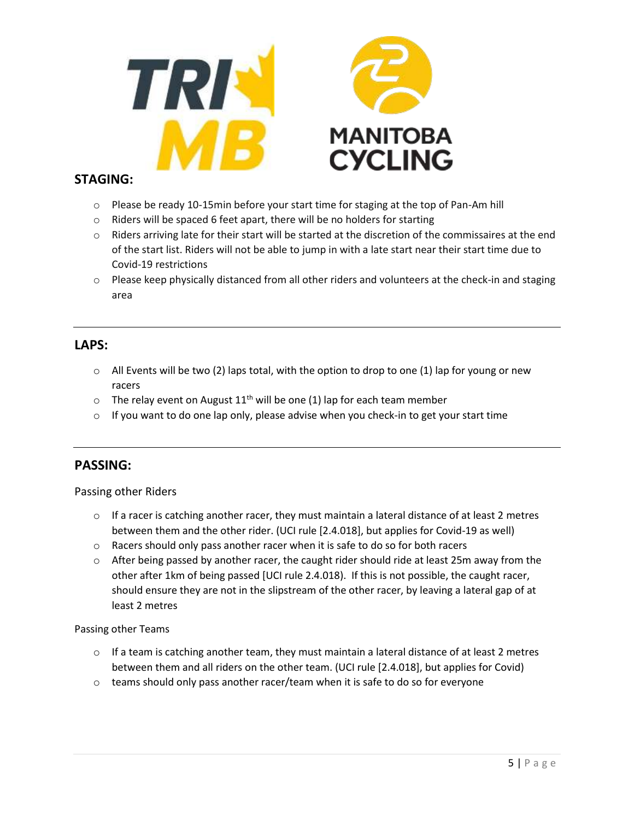

## **STAGING:**

- $\circ$  Please be ready 10-15min before your start time for staging at the top of Pan-Am hill
- o Riders will be spaced 6 feet apart, there will be no holders for starting
- $\circ$  Riders arriving late for their start will be started at the discretion of the commissaires at the end of the start list. Riders will not be able to jump in with a late start near their start time due to Covid-19 restrictions
- $\circ$  Please keep physically distanced from all other riders and volunteers at the check-in and staging area

#### **LAPS:**

- $\circ$  All Events will be two (2) laps total, with the option to drop to one (1) lap for young or new racers
- $\circ$  The relay event on August 11<sup>th</sup> will be one (1) lap for each team member
- $\circ$  If you want to do one lap only, please advise when you check-in to get your start time

## **PASSING:**

#### Passing other Riders

- $\circ$  If a racer is catching another racer, they must maintain a lateral distance of at least 2 metres between them and the other rider. (UCI rule [2.4.018], but applies for Covid-19 as well)
- o Racers should only pass another racer when it is safe to do so for both racers
- $\circ$  After being passed by another racer, the caught rider should ride at least 25m away from the other after 1km of being passed [UCI rule 2.4.018). If this is not possible, the caught racer, should ensure they are not in the slipstream of the other racer, by leaving a lateral gap of at least 2 metres

#### Passing other Teams

- $\circ$  If a team is catching another team, they must maintain a lateral distance of at least 2 metres between them and all riders on the other team. (UCI rule [2.4.018], but applies for Covid)
- $\circ$  teams should only pass another racer/team when it is safe to do so for everyone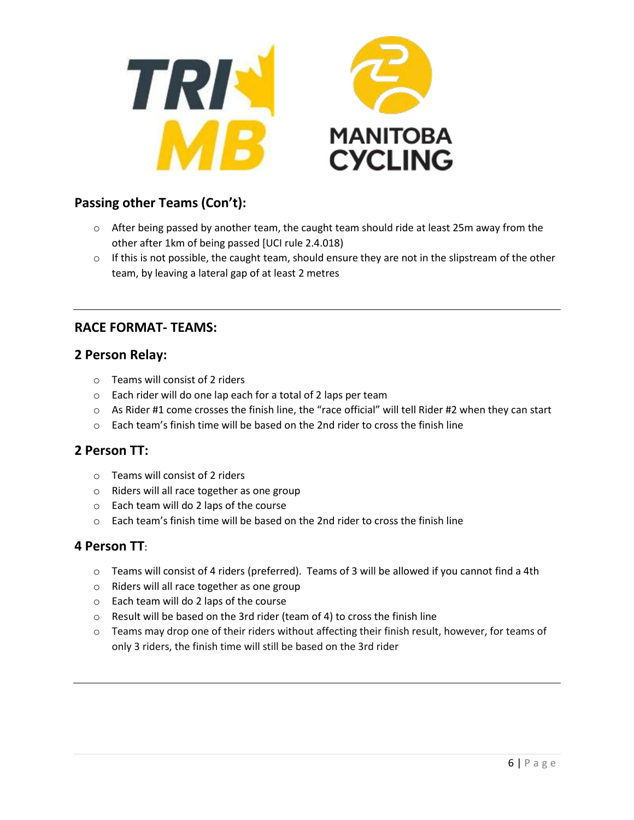



# **Passing other Teams (Con't):**

- $\circ$  After being passed by another team, the caught team should ride at least 25m away from the other after 1km of being passed [UCI rule 2.4.018)
- $\circ$  If this is not possible, the caught team, should ensure they are not in the slipstream of the other team, by leaving a lateral gap of at least 2 metres

# **RACE FORMAT- TEAMS:**

#### **2 Person Relay:**

- o Teams will consist of 2 riders
- o Each rider will do one lap each for a total of 2 laps per team
- $\circ$  As Rider #1 come crosses the finish line, the "race official" will tell Rider #2 when they can start
- $\circ$  Each team's finish time will be based on the 2nd rider to cross the finish line

#### **2 Person TT:**

- o Teams will consist of 2 riders
- o Riders will all race together as one group
- o Each team will do 2 laps of the course
- o Each team's finish time will be based on the 2nd rider to cross the finish line

#### **4 Person TT**:

- o Teams will consist of 4 riders (preferred). Teams of 3 will be allowed if you cannot find a 4th
- o Riders will all race together as one group
- o Each team will do 2 laps of the course
- o Result will be based on the 3rd rider (team of 4) to cross the finish line
- o Teams may drop one of their riders without affecting their finish result, however, for teams of only 3 riders, the finish time will still be based on the 3rd rider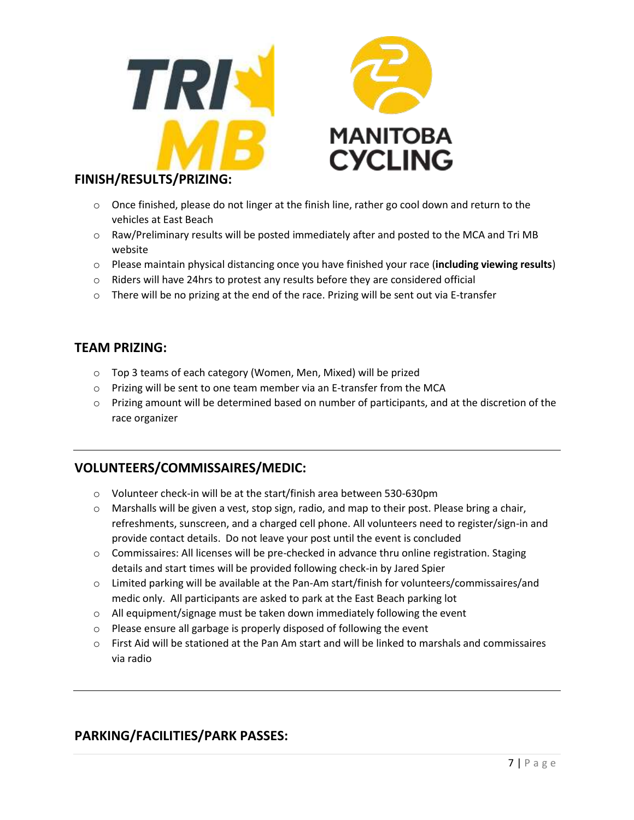



## **FINISH/RESULTS/PRIZING:**

- $\circ$  Once finished, please do not linger at the finish line, rather go cool down and return to the vehicles at East Beach
- $\circ$  Raw/Preliminary results will be posted immediately after and posted to the MCA and Tri MB website
- o Please maintain physical distancing once you have finished your race (**including viewing results**)
- $\circ$  Riders will have 24 hrs to protest any results before they are considered official
- $\circ$  There will be no prizing at the end of the race. Prizing will be sent out via E-transfer

## **TEAM PRIZING:**

- o Top 3 teams of each category (Women, Men, Mixed) will be prized
- o Prizing will be sent to one team member via an E-transfer from the MCA
- o Prizing amount will be determined based on number of participants, and at the discretion of the race organizer

# **VOLUNTEERS/COMMISSAIRES/MEDIC:**

- o Volunteer check-in will be at the start/finish area between 530-630pm
- $\circ$  Marshalls will be given a vest, stop sign, radio, and map to their post. Please bring a chair, refreshments, sunscreen, and a charged cell phone. All volunteers need to register/sign-in and provide contact details. Do not leave your post until the event is concluded
- $\circ$  Commissaires: All licenses will be pre-checked in advance thru online registration. Staging details and start times will be provided following check-in by Jared Spier
- o Limited parking will be available at the Pan-Am start/finish for volunteers/commissaires/and medic only. All participants are asked to park at the East Beach parking lot
- o All equipment/signage must be taken down immediately following the event
- o Please ensure all garbage is properly disposed of following the event
- o First Aid will be stationed at the Pan Am start and will be linked to marshals and commissaires via radio

# **PARKING/FACILITIES/PARK PASSES:**